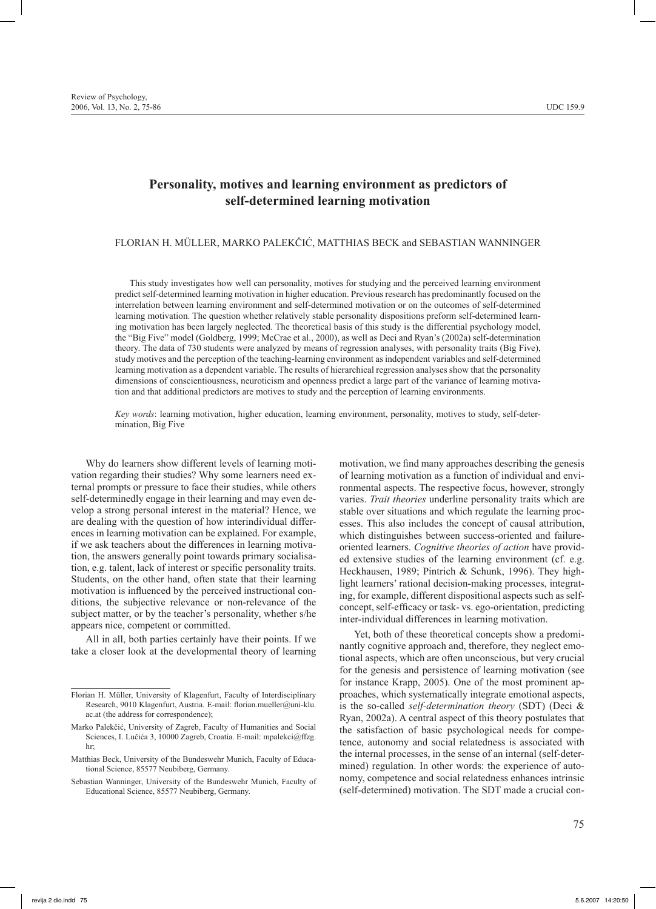Review of Psychology, 2006, Vol. 13, No. 2, 75-86 UDC 159.9

# **Personality, motives and learning environment as predictors of self-determined learning motivation**

# FLORIAN H. MÜLLER, MARKO PALEKČIĆ, MATTHIAS BECK and SEBASTIAN WANNINGER

This study investigates how well can personality, motives for studying and the perceived learning environment predict self-determined learning motivation in higher education. Previous research has predominantly focused on the interrelation between learning environment and self-determined motivation or on the outcomes of self-determined learning motivation. The question whether relatively stable personality dispositions preform self-determined learning motivation has been largely neglected. The theoretical basis of this study is the differential psychology model, the "Big Five" model (Goldberg, 1999; McCrae et al., 2000), as well as Deci and Ryan's (2002a) self-determination theory. The data of 730 students were analyzed by means of regression analyses, with personality traits (Big Five), study motives and the perception of the teaching-learning environment as independent variables and self-determined learning motivation as a dependent variable. The results of hierarchical regression analyses show that the personality dimensions of conscientiousness, neuroticism and openness predict a large part of the variance of learning motivation and that additional predictors are motives to study and the perception of learning environments.

*Key words*: learning motivation, higher education, learning environment, personality, motives to study, self-determination, Big Five

Why do learners show different levels of learning motivation regarding their studies? Why some learners need external prompts or pressure to face their studies, while others self-determinedly engage in their learning and may even develop a strong personal interest in the material? Hence, we are dealing with the question of how interindividual differences in learning motivation can be explained. For example, if we ask teachers about the differences in learning motivation, the answers generally point towards primary socialisation, e.g. talent, lack of interest or specific personality traits. Students, on the other hand, often state that their learning motivation is influenced by the perceived instructional conditions, the subjective relevance or non-relevance of the subject matter, or by the teacher's personality, whether s/he appears nice, competent or committed.

All in all, both parties certainly have their points. If we take a closer look at the developmental theory of learning motivation, we find many approaches describing the genesis of learning motivation as a function of individual and environmental aspects. The respective focus, however, strongly varies. *Trait theories* underline personality traits which are stable over situations and which regulate the learning processes. This also includes the concept of causal attribution, which distinguishes between success-oriented and failureoriented learners. *Cognitive theories of action* have provided extensive studies of the learning environment (cf. e.g. Heckhausen, 1989; Pintrich & Schunk, 1996). They highlight learners' rational decision-making processes, integrating, for example, different dispositional aspects such as selfconcept, self-efficacy or task- vs. ego-orientation, predicting inter-individual differences in learning motivation.

Yet, both of these theoretical concepts show a predominantly cognitive approach and, therefore, they neglect emotional aspects, which are often unconscious, but very crucial for the genesis and persistence of learning motivation (see for instance Krapp, 2005). One of the most prominent approaches, which systematically integrate emotional aspects, is the so-called *self-determination theory* (SDT) (Deci & Ryan, 2002a). A central aspect of this theory postulates that the satisfaction of basic psychological needs for competence, autonomy and social relatedness is associated with the internal processes, in the sense of an internal (self-determined) regulation. In other words: the experience of autonomy, competence and social relatedness enhances intrinsic (self-determined) motivation. The SDT made a crucial con-

Florian H. Müller, University of Klagenfurt, Faculty of Interdisciplinary Research, 9010 Klagenfurt, Austria. E-mail: florian.mueller@uni-klu. ac.at (the address for correspondence);

Marko Palekčić, University of Zagreb, Faculty of Humanities and Social Sciences, I. Lučića 3, 10000 Zagreb, Croatia. E-mail: mpalekci@ffzg. hr;

Matthias Beck, University of the Bundeswehr Munich, Faculty of Educational Science, 85577 Neubiberg, Germany.

Sebastian Wanninger, University of the Bundeswehr Munich, Faculty of Educational Science, 85577 Neubiberg, Germany.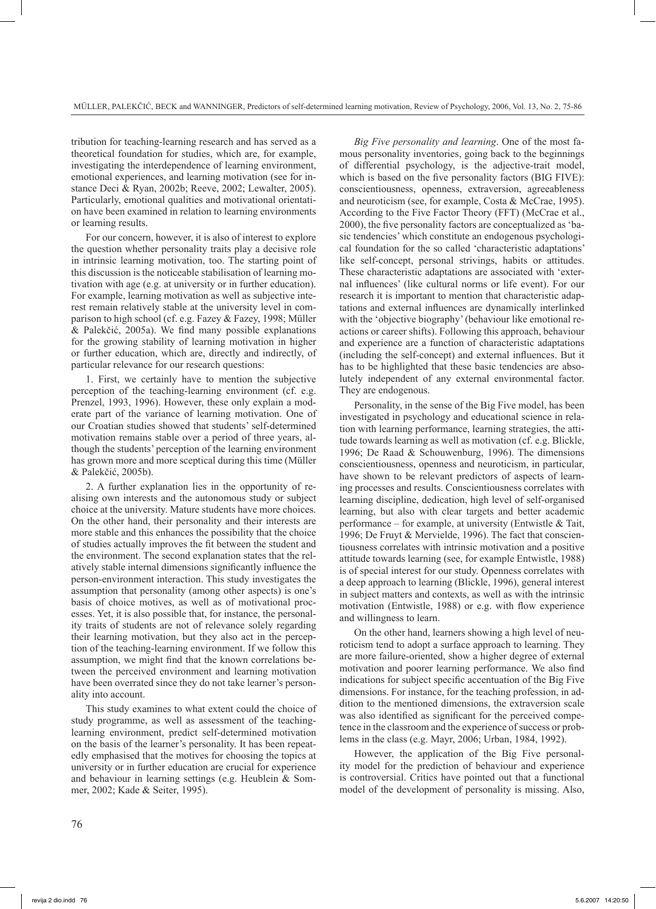tribution for teaching-learning research and has served as a theoretical foundation for studies, which are, for example, investigating the interdependence of learning environment, emotional experiences, and learning motivation (see for instance Deci & Ryan, 2002b; Reeve, 2002; Lewalter, 2005). Particularly, emotional qualities and motivational orientation have been examined in relation to learning environments or learning results.

For our concern, however, it is also of interest to explore the question whether personality traits play a decisive role in intrinsic learning motivation, too. The starting point of this discussion is the noticeable stabilisation of learning motivation with age (e.g. at university or in further education). For example, learning motivation as well as subjective interest remain relatively stable at the university level in comparison to high school (cf. e.g. Fazey & Fazey, 1998; Müller & Palekčić, 2005a). We find many possible explanations for the growing stability of learning motivation in higher or further education, which are, directly and indirectly, of particular relevance for our research questions:

1. First, we certainly have to mention the subjective perception of the teaching-learning environment (cf. e.g. Prenzel, 1993, 1996). However, these only explain a moderate part of the variance of learning motivation. One of our Croatian studies showed that students' self-determined motivation remains stable over a period of three years, although the students' perception of the learning environment has grown more and more sceptical during this time (Müller & Palekčić, 2005b).

2. A further explanation lies in the opportunity of realising own interests and the autonomous study or subject choice at the university. Mature students have more choices. On the other hand, their personality and their interests are more stable and this enhances the possibility that the choice of studies actually improves the fit between the student and the environment. The second explanation states that the relatively stable internal dimensions significantly influence the person-environment interaction. This study investigates the assumption that personality (among other aspects) is one's basis of choice motives, as well as of motivational processes. Yet, it is also possible that, for instance, the personality traits of students are not of relevance solely regarding their learning motivation, but they also act in the perception of the teaching-learning environment. If we follow this assumption, we might find that the known correlations between the perceived environment and learning motivation have been overrated since they do not take learner's personality into account.

This study examines to what extent could the choice of study programme, as well as assessment of the teachinglearning environment, predict self-determined motivation on the basis of the learner's personality. It has been repeatedly emphasised that the motives for choosing the topics at university or in further education are crucial for experience and behaviour in learning settings (e.g. Heublein & Sommer, 2002; Kade & Seiter, 1995).

*Big Five personality and learning*. One of the most famous personality inventories, going back to the beginnings of differential psychology, is the adjective-trait model, which is based on the five personality factors (BIG FIVE): conscientiousness, openness, extraversion, agreeableness and neuroticism (see, for example, Costa & McCrae, 1995). According to the Five Factor Theory (FFT) (McCrae et al., 2000), the five personality factors are conceptualized as 'basic tendencies' which constitute an endogenous psychological foundation for the so called 'characteristic adaptations' like self-concept, personal strivings, habits or attitudes. These characteristic adaptations are associated with 'external influences' (like cultural norms or life event). For our research it is important to mention that characteristic adaptations and external influences are dynamically interlinked with the 'objective biography' (behaviour like emotional reactions or career shifts). Following this approach, behaviour and experience are a function of characteristic adaptations (including the self-concept) and external influences. But it has to be highlighted that these basic tendencies are absolutely independent of any external environmental factor. They are endogenous.

Personality, in the sense of the Big Five model, has been investigated in psychology and educational science in relation with learning performance, learning strategies, the attitude towards learning as well as motivation (cf. e.g. Blickle, 1996; De Raad & Schouwenburg, 1996). The dimensions conscientiousness, openness and neuroticism, in particular, have shown to be relevant predictors of aspects of learning processes and results. Conscientiousness correlates with learning discipline, dedication, high level of self-organised learning, but also with clear targets and better academic performance – for example, at university (Entwistle & Tait, 1996; De Fruyt & Mervielde, 1996). The fact that conscientiousness correlates with intrinsic motivation and a positive attitude towards learning (see, for example Entwistle, 1988) is of special interest for our study. Openness correlates with a deep approach to learning (Blickle, 1996), general interest in subject matters and contexts, as well as with the intrinsic motivation (Entwistle, 1988) or e.g. with flow experience and willingness to learn.

On the other hand, learners showing a high level of neuroticism tend to adopt a surface approach to learning. They are more failure-oriented, show a higher degree of external motivation and poorer learning performance. We also find indications for subject specific accentuation of the Big Five dimensions. For instance, for the teaching profession, in addition to the mentioned dimensions, the extraversion scale was also identified as significant for the perceived competence in the classroom and the experience of success or problems in the class (e.g. Mayr, 2006; Urban, 1984, 1992).

However, the application of the Big Five personality model for the prediction of behaviour and experience is controversial. Critics have pointed out that a functional model of the development of personality is missing. Also,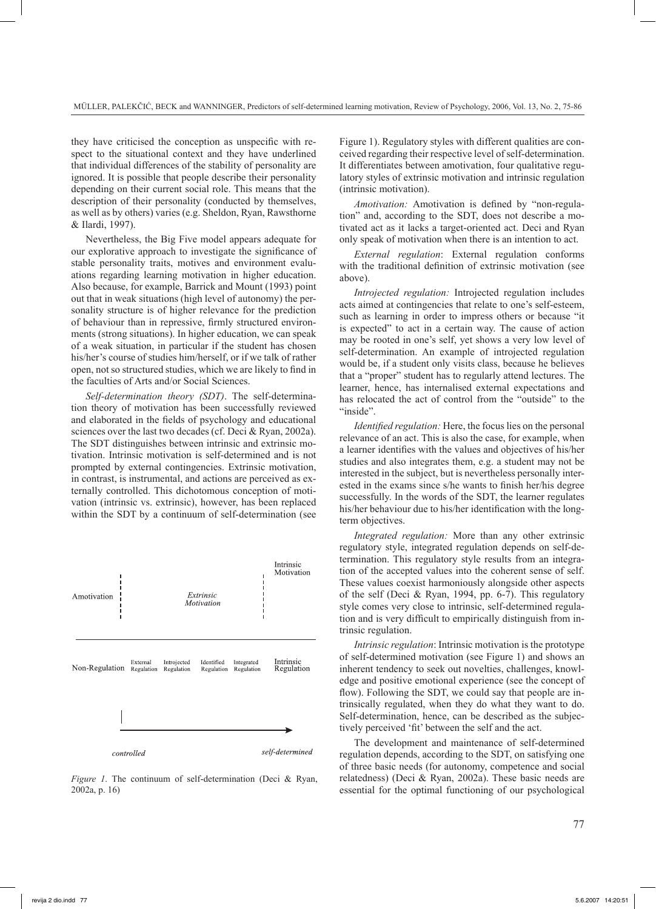they have criticised the conception as unspecific with respect to the situational context and they have underlined that individual differences of the stability of personality are ignored. It is possible that people describe their personality depending on their current social role. This means that the description of their personality (conducted by themselves, as well as by others) varies (e.g. Sheldon, Ryan, Rawsthorne & Ilardi, 1997).

Nevertheless, the Big Five model appears adequate for our explorative approach to investigate the significance of stable personality traits, motives and environment evaluations regarding learning motivation in higher education. Also because, for example, Barrick and Mount (1993) point out that in weak situations (high level of autonomy) the personality structure is of higher relevance for the prediction of behaviour than in repressive, firmly structured environments (strong situations). In higher education, we can speak of a weak situation, in particular if the student has chosen his/her's course of studies him/herself, or if we talk of rather open, not so structured studies, which we are likely to find in the faculties of Arts and/or Social Sciences.

*Self-determination theory (SDT)*. The self-determination theory of motivation has been successfully reviewed and elaborated in the fields of psychology and educational sciences over the last two decades (cf. Deci & Ryan, 2002a). The SDT distinguishes between intrinsic and extrinsic motivation. Intrinsic motivation is self-determined and is not prompted by external contingencies. Extrinsic motivation, in contrast, is instrumental, and actions are perceived as externally controlled. This dichotomous conception of motivation (intrinsic vs. extrinsic), however, has been replaced within the SDT by a continuum of self-determination (see



*Figure 1*. The continuum of self-determination (Deci & Ryan, 2002a, p. 16)

Figure 1). Regulatory styles with different qualities are conceived regarding their respective level of self-determination. It differentiates between amotivation, four qualitative regulatory styles of extrinsic motivation and intrinsic regulation (intrinsic motivation).

*Amotivation:* Amotivation is defined by "non-regulation" and, according to the SDT, does not describe a motivated act as it lacks a target-oriented act. Deci and Ryan only speak of motivation when there is an intention to act.

*External regulation*: External regulation conforms with the traditional definition of extrinsic motivation (see above).

*Introjected regulation:* Introjected regulation includes acts aimed at contingencies that relate to one's self-esteem, such as learning in order to impress others or because "it is expected" to act in a certain way. The cause of action may be rooted in one's self, yet shows a very low level of self-determination. An example of introjected regulation would be, if a student only visits class, because he believes that a "proper" student has to regularly attend lectures. The learner, hence, has internalised external expectations and has relocated the act of control from the "outside" to the "inside".

*Identified regulation:* Here, the focus lies on the personal relevance of an act. This is also the case, for example, when a learner identifies with the values and objectives of his/her studies and also integrates them, e.g. a student may not be interested in the subject, but is nevertheless personally interested in the exams since s/he wants to finish her/his degree successfully. In the words of the SDT, the learner regulates his/her behaviour due to his/her identification with the longterm objectives.

*Integrated regulation:* More than any other extrinsic regulatory style, integrated regulation depends on self-determination. This regulatory style results from an integration of the accepted values into the coherent sense of self. These values coexist harmoniously alongside other aspects of the self (Deci & Ryan, 1994, pp. 6-7). This regulatory style comes very close to intrinsic, self-determined regulation and is very difficult to empirically distinguish from intrinsic regulation.

*Intrinsic regulation*: Intrinsic motivation is the prototype of self-determined motivation (see Figure 1) and shows an inherent tendency to seek out novelties, challenges, knowledge and positive emotional experience (see the concept of flow). Following the SDT, we could say that people are intrinsically regulated, when they do what they want to do. Self-determination, hence, can be described as the subjectively perceived 'fit' between the self and the act.

The development and maintenance of self-determined regulation depends, according to the SDT, on satisfying one of three basic needs (for autonomy, competence and social relatedness) (Deci & Ryan, 2002a). These basic needs are essential for the optimal functioning of our psychological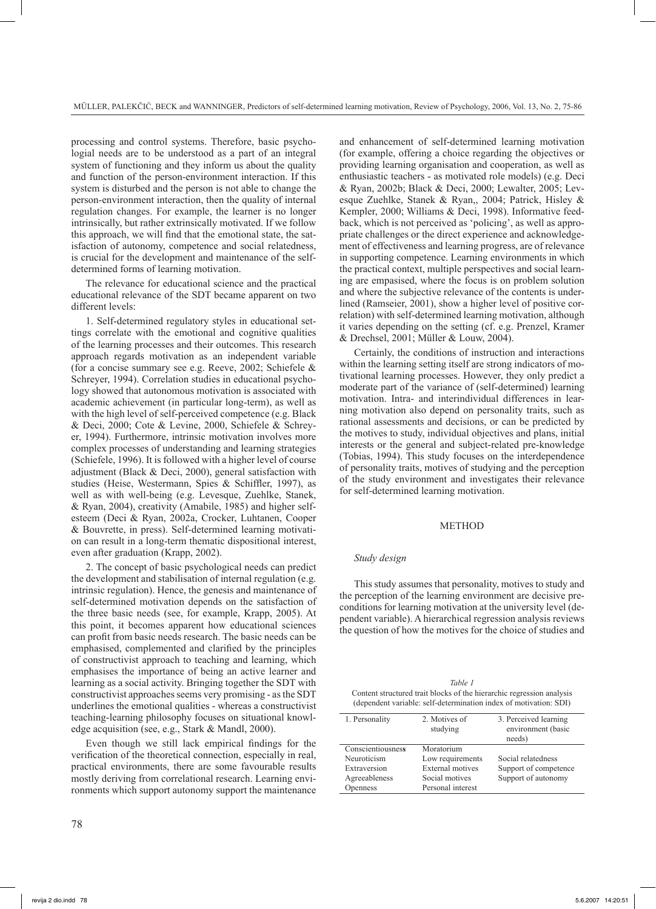processing and control systems. Therefore, basic psychologial needs are to be understood as a part of an integral system of functioning and they inform us about the quality and function of the person-environment interaction. If this system is disturbed and the person is not able to change the person-environment interaction, then the quality of internal regulation changes. For example, the learner is no longer intrinsically, but rather extrinsically motivated. If we follow this approach, we will find that the emotional state, the satisfaction of autonomy, competence and social relatedness, is crucial for the development and maintenance of the selfdetermined forms of learning motivation.

The relevance for educational science and the practical educational relevance of the SDT became apparent on two different levels:

1. Self-determined regulatory styles in educational settings correlate with the emotional and cognitive qualities of the learning processes and their outcomes. This research approach regards motivation as an independent variable (for a concise summary see e.g. Reeve, 2002; Schiefele & Schreyer, 1994). Correlation studies in educational psychology showed that autonomous motivation is associated with academic achievement (in particular long-term), as well as with the high level of self-perceived competence (e.g. Black & Deci, 2000; Cote & Levine, 2000, Schiefele & Schreyer, 1994). Furthermore, intrinsic motivation involves more complex processes of understanding and learning strategies (Schiefele, 1996). It is followed with a higher level of course adjustment (Black & Deci, 2000), general satisfaction with studies (Heise, Westermann, Spies & Schiffler, 1997), as well as with well-being (e.g. Levesque, Zuehlke, Stanek, & Ryan, 2004), creativity (Amabile, 1985) and higher selfesteem (Deci & Ryan, 2002a, Crocker, Luhtanen, Cooper & Bouvrette, in press). Self-determined learning motivation can result in a long-term thematic dispositional interest, even after graduation (Krapp, 2002).

2. The concept of basic psychological needs can predict the development and stabilisation of internal regulation (e.g. intrinsic regulation). Hence, the genesis and maintenance of self-determined motivation depends on the satisfaction of the three basic needs (see, for example, Krapp, 2005). At this point, it becomes apparent how educational sciences can profit from basic needs research. The basic needs can be emphasised, complemented and clarified by the principles of constructivist approach to teaching and learning, which emphasises the importance of being an active learner and learning as a social activity. Bringing together the SDT with constructivist approaches seems very promising - as the SDT underlines the emotional qualities - whereas a constructivist teaching-learning philosophy focuses on situational knowledge acquisition (see, e.g., Stark & Mandl, 2000).

Even though we still lack empirical findings for the verification of the theoretical connection, especially in real, practical environments, there are some favourable results mostly deriving from correlational research. Learning environments which support autonomy support the maintenance

and enhancement of self-determined learning motivation (for example, offering a choice regarding the objectives or providing learning organisation and cooperation, as well as enthusiastic teachers - as motivated role models) (e.g. Deci & Ryan, 2002b; Black & Deci, 2000; Lewalter, 2005; Levesque Zuehlke, Stanek & Ryan,, 2004; Patrick, Hisley & Kempler, 2000; Williams & Deci, 1998). Informative feedback, which is not perceived as 'policing', as well as appropriate challenges or the direct experience and acknowledgement of effectiveness and learning progress, are of relevance in supporting competence. Learning environments in which the practical context, multiple perspectives and social learning are empasised, where the focus is on problem solution and where the subjective relevance of the contents is underlined (Ramseier, 2001), show a higher level of positive correlation) with self-determined learning motivation, although it varies depending on the setting (cf. e.g. Prenzel, Kramer & Drechsel, 2001; Müller & Louw, 2004).

Certainly, the conditions of instruction and interactions within the learning setting itself are strong indicators of motivational learning processes. However, they only predict a moderate part of the variance of (self-determined) learning motivation. Intra- and interindividual differences in learning motivation also depend on personality traits, such as rational assessments and decisions, or can be predicted by the motives to study, individual objectives and plans, initial interests or the general and subject-related pre-knowledge (Tobias, 1994). This study focuses on the interdependence of personality traits, motives of studying and the perception of the study environment and investigates their relevance for self-determined learning motivation.

### **METHOD**

#### *Study design*

This study assumes that personality, motives to study and the perception of the learning environment are decisive preconditions for learning motivation at the university level (dependent variable). A hierarchical regression analysis reviews the question of how the motives for the choice of studies and

| Table 1                                                               |
|-----------------------------------------------------------------------|
| Content structured trait blocks of the hierarchic regression analysis |
| (dependent variable: self-determination index of motivation: SDI)     |

| 1. Personality    | 2. Motives of<br>studying | 3. Perceived learning<br>environment (basic<br>needs) |
|-------------------|---------------------------|-------------------------------------------------------|
| Conscientiousness | Moratorium                |                                                       |
| Neuroticism       | Low requirements          | Social relatedness                                    |
| Extraversion      | External motives          | Support of competence                                 |
| Agreeableness     | Social motives            | Support of autonomy                                   |
| Openness          | Personal interest         |                                                       |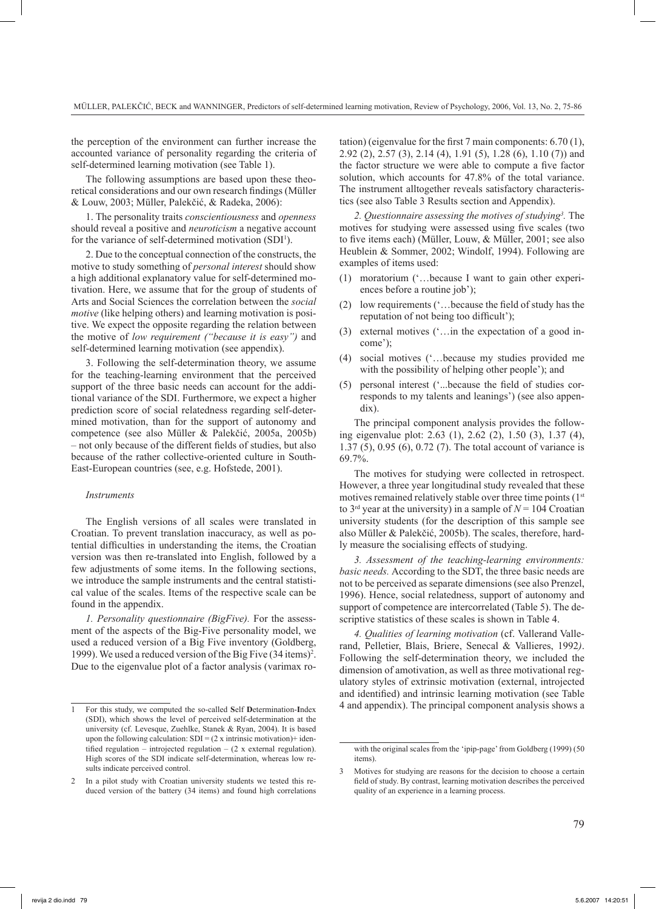the perception of the environment can further increase the accounted variance of personality regarding the criteria of self-determined learning motivation (see Table 1).

The following assumptions are based upon these theoretical considerations and our own research findings (Müller & Louw, 2003; Müller, Palekčić, & Radeka, 2006):

1. The personality traits *conscientiousness* and *openness*  should reveal a positive and *neuroticism* a negative account for the variance of self-determined motivation (SDI<sup>1</sup>).

2. Due to the conceptual connection of the constructs, the motive to study something of *personal interest* should show a high additional explanatory value for self-determined motivation. Here, we assume that for the group of students of Arts and Social Sciences the correlation between the *social motive* (like helping others) and learning motivation is positive. We expect the opposite regarding the relation between the motive of *low requirement ("because it is easy")* and self-determined learning motivation (see appendix).

3. Following the self-determination theory, we assume for the teaching-learning environment that the perceived support of the three basic needs can account for the additional variance of the SDI. Furthermore, we expect a higher prediction score of social relatedness regarding self-determined motivation, than for the support of autonomy and competence (see also Müller & Palekčić, 2005a, 2005b) – not only because of the different fields of studies, but also because of the rather collective-oriented culture in South-East-European countries (see, e.g. Hofstede, 2001).

### *Instruments*

The English versions of all scales were translated in Croatian. To prevent translation inaccuracy, as well as potential difficulties in understanding the items, the Croatian version was then re-translated into English, followed by a few adjustments of some items. In the following sections, we introduce the sample instruments and the central statistical value of the scales. Items of the respective scale can be found in the appendix.

*1. Personality questionnaire (BigFive).* For the assessment of the aspects of the Big-Five personality model, we used a reduced version of a Big Five inventory (Goldberg, 1999). We used a reduced version of the Big Five (34 items)<sup>2</sup>. Due to the eigenvalue plot of a factor analysis (varimax rotation) (eigenvalue for the first 7 main components: 6.70 (1), 2.92 (2), 2.57 (3), 2.14 (4), 1.91 (5), 1.28 (6), 1.10 (7)) and the factor structure we were able to compute a five factor solution, which accounts for 47.8% of the total variance. The instrument alltogether reveals satisfactory characteristics (see also Table 3 Results section and Appendix).

*2. Questionnaire assessing the motives of studying3 .* The motives for studying were assessed using five scales (two to five items each) (Müller, Louw, & Müller, 2001; see also Heublein & Sommer, 2002; Windolf, 1994). Following are examples of items used:

- (1) moratorium ('…because I want to gain other experiences before a routine job');
- (2) low requirements ('…because the field of study has the reputation of not being too difficult');
- (3) external motives ('…in the expectation of a good income');
- (4) social motives ('…because my studies provided me with the possibility of helping other people'); and
- (5) personal interest ('...because the field of studies corresponds to my talents and leanings') (see also appendix).

The principal component analysis provides the following eigenvalue plot: 2.63 (1), 2.62 (2), 1.50 (3), 1.37 (4), 1.37 (5), 0.95 (6), 0.72 (7). The total account of variance is 69.7%.

The motives for studying were collected in retrospect. However, a three year longitudinal study revealed that these motives remained relatively stable over three time points  $(1<sup>st</sup>)$ to  $3<sup>rd</sup>$  year at the university) in a sample of  $N = 104$  Croatian university students (for the description of this sample see also Müller & Palekčić, 2005b). The scales, therefore, hardly measure the socialising effects of studying.

*3. Assessment of the teaching-learning environments: basic needs.* According to the SDT, the three basic needs are not to be perceived as separate dimensions (see also Prenzel, 1996). Hence, social relatedness, support of autonomy and support of competence are intercorrelated (Table 5). The descriptive statistics of these scales is shown in Table 4.

*4. Qualities of learning motivation* (cf. Vallerand Vallerand, Pelletier, Blais, Briere, Senecal & Vallieres, 1992*)*. Following the self-determination theory, we included the dimension of amotivation, as well as three motivational regulatory styles of extrinsic motivation (external, introjected and identified) and intrinsic learning motivation (see Table 1 For this study, we computed the so-called Self Determination-Index 4 and appendix). The principal component analysis shows a

<sup>(</sup>SDI), which shows the level of perceived self-determination at the university (cf. Levesque, Zuehlke, Stanek & Ryan, 2004). It is based upon the following calculation:  $SDI = (2 \times \text{intrinsic motivation}) + \text{iden}$ tified regulation – introjected regulation –  $(2 \times$  external regulation). High scores of the SDI indicate self-determination, whereas low results indicate perceived control.

In a pilot study with Croatian university students we tested this reduced version of the battery (34 items) and found high correlations

with the original scales from the 'ipip-page' from Goldberg (1999) (50 items).

<sup>3</sup> Motives for studying are reasons for the decision to choose a certain field of study. By contrast, learning motivation describes the perceived quality of an experience in a learning process.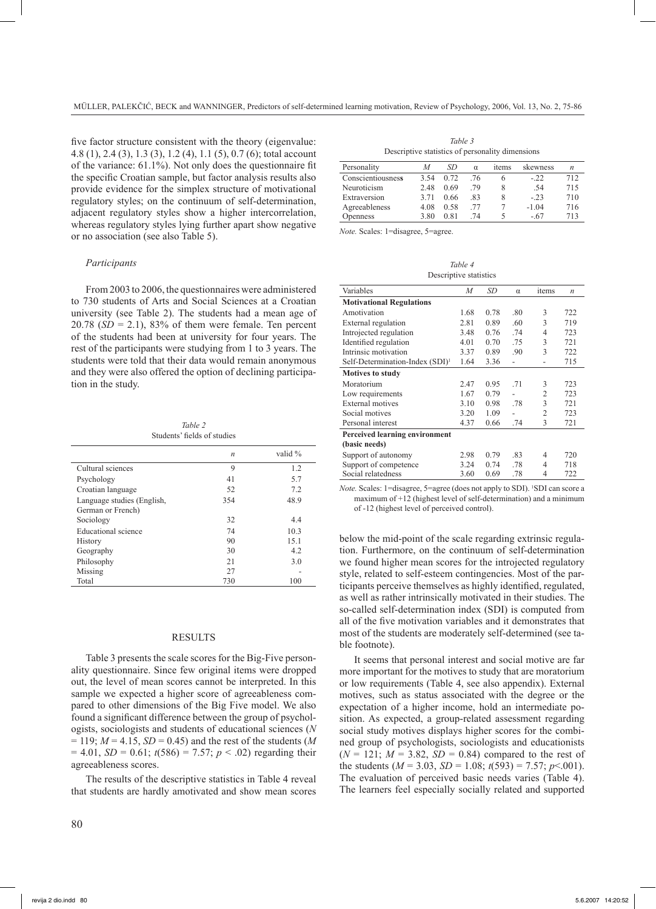five factor structure consistent with the theory (eigenvalue: 4.8 (1), 2.4 (3), 1.3 (3), 1.2 (4), 1.1 (5), 0.7 (6); total account of the variance: 61.1%). Not only does the questionnaire fit the specific Croatian sample, but factor analysis results also provide evidence for the simplex structure of motivational regulatory styles; on the continuum of self-determination, adjacent regulatory styles show a higher intercorrelation, whereas regulatory styles lying further apart show negative or no association (see also Table 5).

#### *Participants*

From 2003 to 2006, the questionnaires were administered to 730 students of Arts and Social Sciences at a Croatian university (see Table 2). The students had a mean age of 20.78  $(SD = 2.1)$ , 83% of them were female. Ten percent of the students had been at university for four years. The rest of the participants were studying from 1 to 3 years. The students were told that their data would remain anonymous and they were also offered the option of declining participation in the study.

*Table 2* Students' fields of studies

|                                                 | $\boldsymbol{n}$ | valid % |
|-------------------------------------------------|------------------|---------|
| Cultural sciences                               | 9                | 1.2     |
| Psychology                                      | 41               | 5.7     |
| Croatian language                               | 52               | 7.2     |
| Language studies (English,<br>German or French) | 354              | 48.9    |
| Sociology                                       | 32               | 4.4     |
| Educational science                             | 74               | 10.3    |
| History                                         | 90               | 15.1    |
| Geography                                       | 30               | 4.2     |
| Philosophy                                      | 21               | 3.0     |
| Missing                                         | 27               |         |
| Total                                           | 730              | 100     |

#### **RESULTS**

Table 3 presents the scale scores for the Big-Five personality questionnaire. Since few original items were dropped out, the level of mean scores cannot be interpreted. In this sample we expected a higher score of agreeableness compared to other dimensions of the Big Five model. We also found a significant difference between the group of psychologists, sociologists and students of educational sciences (*N*  $= 119$ ;  $M = 4.15$ ,  $SD = 0.45$ ) and the rest of the students (*M*  $= 4.01$ , *SD* = 0.61;  $t(586) = 7.57$ ;  $p < .02$ ) regarding their agreeableness scores.

The results of the descriptive statistics in Table 4 reveal that students are hardly amotivated and show mean scores

*Table 3* Descriptive statistics of personality dimensions

| Personality       | М    | SD   | $\alpha$ | items | skewness | $\boldsymbol{n}$ |
|-------------------|------|------|----------|-------|----------|------------------|
| Conscientiousness | 3.54 | 0.72 | .76      | h     | $-22$    | 712              |
| Neuroticism       | 2.48 | 0.69 | 79       | 8     | .54      | 715              |
| Extraversion      | 3.71 | 0.66 | 83       | 8     | $-23$    | 710              |
| Agreeableness     | 4.08 | 0.58 | 77       |       | $-1.04$  | 716              |
| Openness          | 3.80 | 0.81 | 74       | ৲     | $-.67$   | 713              |

*Note.* Scales: 1=disagree, 5=agree.

*Table 4* Descriptive statistics

| Variables                                   | M    | SD   | $\alpha$ | items          | $\boldsymbol{n}$ |
|---------------------------------------------|------|------|----------|----------------|------------------|
| <b>Motivational Regulations</b>             |      |      |          |                |                  |
| Amotivation                                 | 1.68 | 0.78 | .80      | 3              | 722              |
| External regulation                         | 2.81 | 0.89 | .60      | 3              | 719              |
| Introjected regulation                      | 3.48 | 0.76 | .74      | 4              | 723              |
| Identified regulation                       | 4.01 | 0.70 | .75      | 3              | 721              |
| Intrinsic motivation                        | 3.37 | 0.89 | .90      | 3              | 722              |
| Self-Determination-Index (SDI) <sup>1</sup> | 1.64 | 3.36 | L,       | ۰              | 715              |
| <b>Motives to study</b>                     |      |      |          |                |                  |
| Moratorium                                  | 2.47 | 0.95 | .71      | 3              | 723              |
| Low requirements                            | 1.67 | 0.79 |          | 2              | 723              |
| External motives                            | 3.10 | 0.98 | .78      | 3              | 721              |
| Social motives                              | 3.20 | 1.09 |          | $\overline{c}$ | 723              |
| Personal interest                           | 4.37 | 0.66 | .74      | 3              | 721              |
| Perceived learning environment              |      |      |          |                |                  |
| (basic needs)                               |      |      |          |                |                  |
| Support of autonomy                         | 2.98 | 0.79 | .83      | 4              | 720              |
| Support of competence                       | 3.24 | 0.74 | .78      | 4              | 718              |
| Social relatedness                          | 3.60 | 0.69 | .78      | 4              | 722              |

Note. Scales: 1=disagree, 5=agree (does not apply to SDI). <sup>1</sup>SDI can score a maximum of +12 (highest level of self-determination) and a minimum of -12 (highest level of perceived control).

below the mid-point of the scale regarding extrinsic regulation. Furthermore, on the continuum of self-determination we found higher mean scores for the introjected regulatory style, related to self-esteem contingencies. Most of the participants perceive themselves as highly identified, regulated, as well as rather intrinsically motivated in their studies. The so-called self-determination index (SDI) is computed from all of the five motivation variables and it demonstrates that most of the students are moderately self-determined (see table footnote).

It seems that personal interest and social motive are far more important for the motives to study that are moratorium or low requirements (Table 4, see also appendix). External motives, such as status associated with the degree or the expectation of a higher income, hold an intermediate position. As expected, a group-related assessment regarding social study motives displays higher scores for the combined group of psychologists, sociologists and educationists  $(N = 121; M = 3.82, SD = 0.84)$  compared to the rest of the students  $(M = 3.03, SD = 1.08; t(593) = 7.57; p<.001)$ . The evaluation of perceived basic needs varies (Table 4). The learners feel especially socially related and supported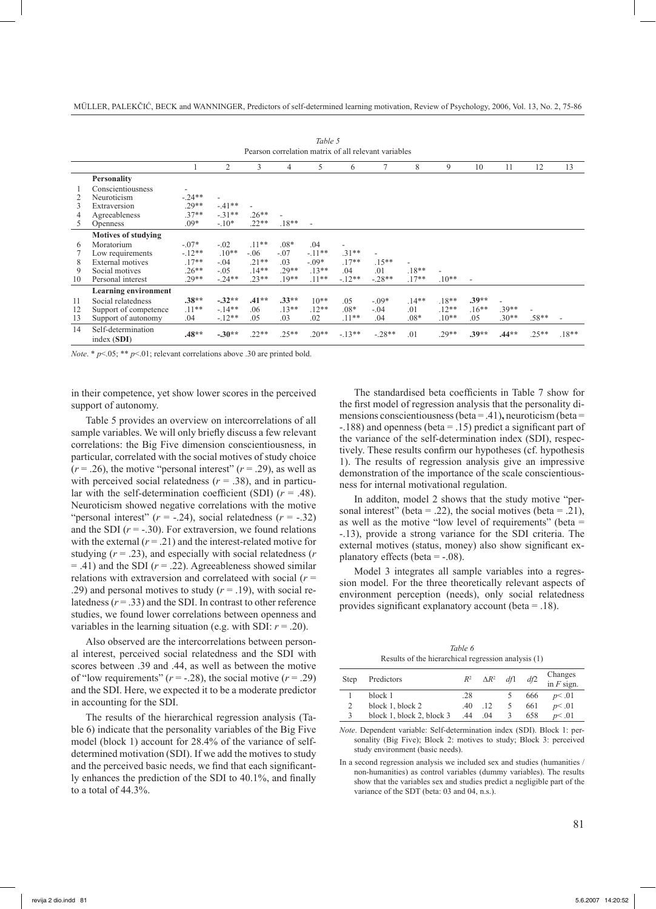|    | Tuvie J<br>Pearson correlation matrix of all relevant variables |          |          |         |         |                          |                          |                          |         |         |         |         |         |                |
|----|-----------------------------------------------------------------|----------|----------|---------|---------|--------------------------|--------------------------|--------------------------|---------|---------|---------|---------|---------|----------------|
|    |                                                                 |          | 2        | 3       | 4       | 5                        | 6                        |                          | 8       | 9       | 10      | 11      | 12      | 13             |
|    | <b>Personality</b>                                              |          |          |         |         |                          |                          |                          |         |         |         |         |         |                |
|    | Conscientiousness                                               |          |          |         |         |                          |                          |                          |         |         |         |         |         |                |
|    | Neuroticism                                                     | $-.24**$ | ٠        |         |         |                          |                          |                          |         |         |         |         |         |                |
| 3  | Extraversion                                                    | $.29**$  | $-41**$  | ٠       |         |                          |                          |                          |         |         |         |         |         |                |
|    | Agreeableness                                                   | $37**$   | $-.31**$ | $.26**$ |         |                          |                          |                          |         |         |         |         |         |                |
| 5  | <b>Openness</b>                                                 | $.09*$   | $-.10*$  | $.22**$ | $.18**$ | $\overline{\phantom{a}}$ |                          |                          |         |         |         |         |         |                |
|    | <b>Motives of studying</b>                                      |          |          |         |         |                          |                          |                          |         |         |         |         |         |                |
| 6  | Moratorium                                                      | $-.07*$  | $-.02$   | $.11**$ | $.08*$  | .04                      | $\overline{\phantom{a}}$ |                          |         |         |         |         |         |                |
|    | Low requirements                                                | $-12**$  | $.10**$  | $-.06$  | $-.07$  | $-.11**$                 | $.31**$                  | $\overline{\phantom{a}}$ |         |         |         |         |         |                |
| 8  | External motives                                                | $17**$   | $-.04$   | $.21**$ | .03     | $-.09*$                  | $.17**$                  | $.15**$                  | ٠       |         |         |         |         |                |
| 9  | Social motives                                                  | $26**$   | $-.05$   | $.14**$ | $.29**$ | $.13**$                  | .04                      | .01                      | $.18**$ |         |         |         |         |                |
| 10 | Personal interest                                               | 29**     | $-24**$  | $.23**$ | $19**$  | $.11**$                  | $-12**$                  | $-.28**$                 | $.17**$ | $.10**$ |         |         |         |                |
|    | Learning environment                                            |          |          |         |         |                          |                          |                          |         |         |         |         |         |                |
| 11 | Social relatedness                                              | $.38**$  | $-.32**$ | $.41**$ | $.33**$ | $10**$                   | .05                      | $-.09*$                  | $.14**$ | $.18**$ | $.39**$ |         |         |                |
| 12 | Support of competence                                           | $.11**$  | $-14**$  | .06     | $.13**$ | $.12**$                  | $.08*$                   | $-.04$                   | .01     | $.12**$ | $.16**$ | $.39**$ |         |                |
| 13 | Support of autonomy                                             | .04      | $-.12**$ | .05     | .03     | .02                      | $.11**$                  | .04                      | $.08*$  | $.10**$ | .05     | $.30**$ | $.58**$ | $\blacksquare$ |
| 14 | Self-determination<br>index (SDI)                               | $.48**$  | $-.30**$ | $.22**$ | $.25**$ | $.20**$                  | $-13**$                  | $-.28**$                 | .01     | $.29**$ | $.39**$ | $.44**$ | $.25**$ | $.18**$        |

*Table 5*

*Note.* \*  $p<05$ ; \*\*  $p<01$ ; relevant correlations above .30 are printed bold.

in their competence, yet show lower scores in the perceived support of autonomy.

Table 5 provides an overview on intercorrelations of all sample variables. We will only briefly discuss a few relevant correlations: the Big Five dimension conscientiousness, in particular, correlated with the social motives of study choice  $(r = .26)$ , the motive "personal interest"  $(r = .29)$ , as well as with perceived social relatedness  $(r = .38)$ , and in particular with the self-determination coefficient (SDI)  $(r = .48)$ . Neuroticism showed negative correlations with the motive "personal interest"  $(r = -.24)$ , social relatedness  $(r = -.32)$ and the SDI  $(r = -.30)$ . For extraversion, we found relations with the external  $(r = .21)$  and the interest-related motive for studying (*r* = .23), and especially with social relatedness (*r*  $=$  .41) and the SDI ( $r = .22$ ). Agreeableness showed similar relations with extraversion and correlateed with social (*r* = .29) and personal motives to study  $(r = .19)$ , with social relatedness  $(r = .33)$  and the SDI. In contrast to other reference studies, we found lower correlations between openness and variables in the learning situation (e.g. with SDI:  $r = .20$ ).

Also observed are the intercorrelations between personal interest, perceived social relatedness and the SDI with scores between .39 and .44, as well as between the motive of "low requirements"  $(r = -.28)$ , the social motive  $(r = .29)$ and the SDI. Here, we expected it to be a moderate predictor in accounting for the SDI.

The results of the hierarchical regression analysis (Table 6) indicate that the personality variables of the Big Five model (block 1) account for 28.4% of the variance of selfdetermined motivation (SDI). If we add the motives to study and the perceived basic needs, we find that each significantly enhances the prediction of the SDI to 40.1%, and finally to a total of 44.3%.

The standardised beta coefficients in Table 7 show for the first model of regression analysis that the personality dimensions conscientiousness (beta = .41)**,** neuroticism (beta = -.188) and openness (beta = .15) predict a significant part of the variance of the self-determination index (SDI), respectively. These results confirm our hypotheses (cf. hypothesis 1). The results of regression analysis give an impressive demonstration of the importance of the scale conscientiousness for internal motivational regulation.

In additon, model 2 shows that the study motive "personal interest" (beta = .22), the social motives (beta = .21), as well as the motive "low level of requirements" (beta = -.13), provide a strong variance for the SDI criteria. The external motives (status, money) also show significant explanatory effects (beta  $=$  -.08).

Model 3 integrates all sample variables into a regression model. For the three theoretically relevant aspects of environment perception (needs), only social relatedness provides significant explanatory account (beta = .18).

*Table 6* Results of the hierarchical regression analysis (1)

| Step | Predictors                |     | $R^2$ $\Delta R^2$ | df1           | df2 | Changes<br>in $F$ sign. |
|------|---------------------------|-----|--------------------|---------------|-----|-------------------------|
|      | block 1                   | .28 |                    |               | 666 | p<.01                   |
| 2    | block 1, block 2          | -40 | .12                | 5             | 661 | p<.01                   |
| 3    | block 1, block 2, block 3 | .44 | .04                | $\mathcal{R}$ | 658 | p<.01                   |

*Note*. Dependent variable: Self-determination index (SDI). Block 1: personality (Big Five); Block 2: motives to study; Block 3: perceived study environment (basic needs).

In a second regression analysis we included sex and studies (humanities / non-humanities) as control variables (dummy variables). The results show that the variables sex and studies predict a negligible part of the variance of the SDT (beta: 03 and 04, n.s.).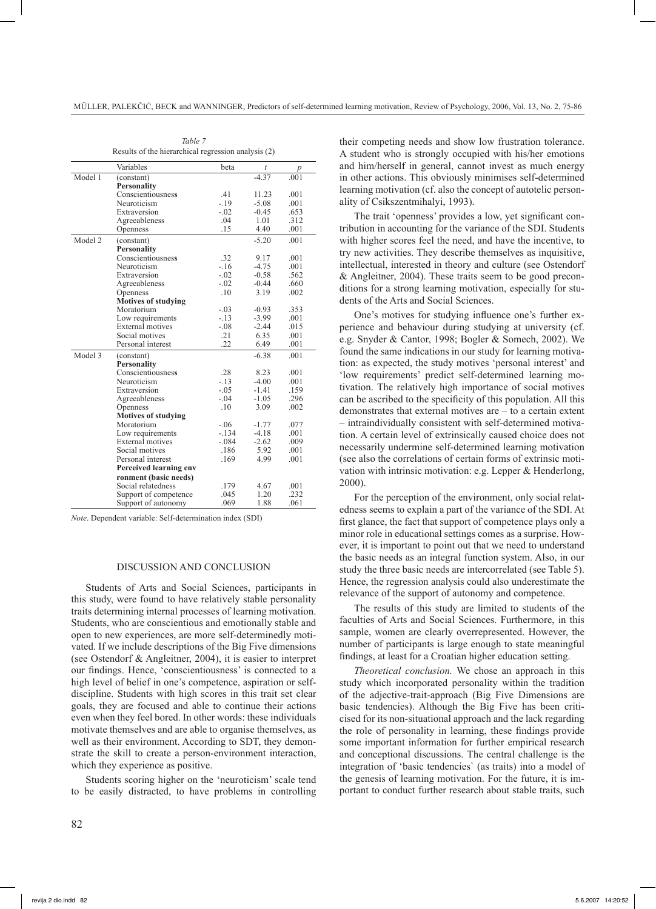|         | Variables                  | beta    | t       | p    |
|---------|----------------------------|---------|---------|------|
| Model1  | (constant)                 |         | $-4.37$ | .001 |
|         | <b>Personality</b>         |         |         |      |
|         | Conscientiousness          | .41     | 11.23   | .001 |
|         | Neuroticism                | $-19$   | $-5.08$ | .001 |
|         | Extraversion               | $-.02$  | $-0.45$ | .653 |
|         | Agreeableness              | .04     | 1.01    | .312 |
|         | Openness                   | .15     | 4.40    | .001 |
| Model 2 | (constant)                 |         | $-5.20$ | .001 |
|         | <b>Personality</b>         |         |         |      |
|         | Conscientiousness          | .32     | 9.17    | .001 |
|         | Neuroticism                | $-16$   | $-4.75$ | .001 |
|         | Extraversion               | $-.02$  | $-0.58$ | .562 |
|         | Agreeableness              | $-.02$  | $-0.44$ | .660 |
|         | Openness                   | .10     | 3.19    | .002 |
|         | <b>Motives of studying</b> |         |         |      |
|         | Moratorium                 | $-.03$  | $-0.93$ | .353 |
|         | Low requirements           | $-13$   | $-3.99$ | .001 |
|         | <b>External motives</b>    | $-.08$  | $-2.44$ | .015 |
|         | Social motives             | .21     | 6.35    | .001 |
|         | Personal interest          | .22     | 6.49    | .001 |
| Model 3 | (constant)                 |         | $-6.38$ | .001 |
|         | <b>Personality</b>         |         |         |      |
|         | Conscientiousness          | .28     | 8.23    | .001 |
|         | Neuroticism                | $-13$   | $-4.00$ | .001 |
|         | Extraversion               | $-.05$  | $-1.41$ | .159 |
|         | Agreeableness              | $-.04$  | $-1.05$ | .296 |
|         | Openness                   | .10     | 3.09    | .002 |
|         | <b>Motives of studying</b> |         |         |      |
|         | Moratorium                 | $-.06$  | $-1.77$ | .077 |
|         | Low requirements           | $-.134$ | $-4.18$ | .001 |
|         | External motives           | $-.084$ | $-2.62$ | .009 |
|         | Social motives             | .186    | 5.92    | .001 |
|         | Personal interest          | .169    | 4.99    | .001 |
|         | Perceived learning env     |         |         |      |
|         | ronment (basic needs)      |         |         |      |
|         | Social relatedness         | .179    | 4.67    | .001 |
|         | Support of competence      | .045    | 1.20    | .232 |
|         | Support of autonomy        | .069    | 1.88    | .061 |

*Table 7*

Results of the hierarchical regression analysis (2)

*Note*. Dependent variable: Self-determination index (SDI)

# DISCUSSION AND CONCLUSION

Students of Arts and Social Sciences, participants in this study, were found to have relatively stable personality traits determining internal processes of learning motivation. Students, who are conscientious and emotionally stable and open to new experiences, are more self-determinedly motivated. If we include descriptions of the Big Five dimensions (see Ostendorf & Angleitner, 2004), it is easier to interpret our findings. Hence, 'conscientiousness' is connected to a high level of belief in one's competence, aspiration or selfdiscipline. Students with high scores in this trait set clear goals, they are focused and able to continue their actions even when they feel bored. In other words: these individuals motivate themselves and are able to organise themselves, as well as their environment. According to SDT, they demonstrate the skill to create a person-environment interaction, which they experience as positive.

Students scoring higher on the 'neuroticism' scale tend to be easily distracted, to have problems in controlling their competing needs and show low frustration tolerance. A student who is strongly occupied with his/her emotions and him/herself in general, cannot invest as much energy in other actions. This obviously minimises self-determined learning motivation (cf. also the concept of autotelic personality of Csikszentmihalyi, 1993).

The trait 'openness' provides a low, yet significant contribution in accounting for the variance of the SDI. Students with higher scores feel the need, and have the incentive, to try new activities. They describe themselves as inquisitive, intellectual, interested in theory and culture (see Ostendorf & Angleitner, 2004). These traits seem to be good preconditions for a strong learning motivation, especially for students of the Arts and Social Sciences.

One's motives for studying influence one's further experience and behaviour during studying at university (cf. e.g. Snyder & Cantor, 1998; Bogler & Somech, 2002). We found the same indications in our study for learning motivation: as expected, the study motives 'personal interest' and 'low requirements' predict self-determined learning motivation. The relatively high importance of social motives can be ascribed to the specificity of this population. All this demonstrates that external motives are – to a certain extent – intraindividually consistent with self-determined motivation. A certain level of extrinsically caused choice does not necessarily undermine self-determined learning motivation (see also the correlations of certain forms of extrinsic motivation with intrinsic motivation: e.g. Lepper & Henderlong, 2000).

For the perception of the environment, only social relatedness seems to explain a part of the variance of the SDI. At first glance, the fact that support of competence plays only a minor role in educational settings comes as a surprise. However, it is important to point out that we need to understand the basic needs as an integral function system. Also, in our study the three basic needs are intercorrelated (see Table 5). Hence, the regression analysis could also underestimate the relevance of the support of autonomy and competence.

The results of this study are limited to students of the faculties of Arts and Social Sciences. Furthermore, in this sample, women are clearly overrepresented. However, the number of participants is large enough to state meaningful findings, at least for a Croatian higher education setting.

*Theoretical conclusion.* We chose an approach in this study which incorporated personality within the tradition of the adjective-trait-approach (Big Five Dimensions are basic tendencies). Although the Big Five has been criticised for its non-situational approach and the lack regarding the role of personality in learning, these findings provide some important information for further empirical research and conceptional discussions. The central challenge is the integration of 'basic tendencies` (as traits) into a model of the genesis of learning motivation. For the future, it is important to conduct further research about stable traits, such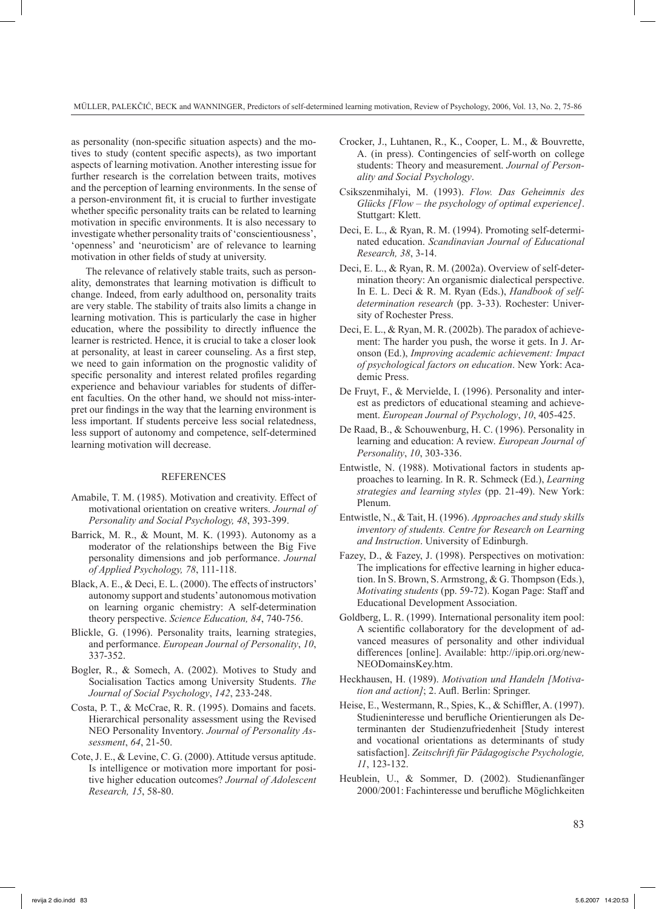as personality (non-specific situation aspects) and the motives to study (content specific aspects), as two important aspects of learning motivation. Another interesting issue for further research is the correlation between traits, motives and the perception of learning environments. In the sense of a person-environment fit, it is crucial to further investigate whether specific personality traits can be related to learning motivation in specific environments. It is also necessary to investigate whether personality traits of 'conscientiousness', 'openness' and 'neuroticism' are of relevance to learning motivation in other fields of study at university.

The relevance of relatively stable traits, such as personality, demonstrates that learning motivation is difficult to change. Indeed, from early adulthood on, personality traits are very stable. The stability of traits also limits a change in learning motivation. This is particularly the case in higher education, where the possibility to directly influence the learner is restricted. Hence, it is crucial to take a closer look at personality, at least in career counseling. As a first step, we need to gain information on the prognostic validity of specific personality and interest related profiles regarding experience and behaviour variables for students of different faculties. On the other hand, we should not miss-interpret our findings in the way that the learning environment is less important. If students perceive less social relatedness, less support of autonomy and competence, self-determined learning motivation will decrease.

#### REFERENCES

- Amabile, T. M. (1985). Motivation and creativity. Effect of motivational orientation on creative writers. *Journal of Personality and Social Psychology, 48*, 393-399.
- Barrick, M. R., & Mount, M. K. (1993). Autonomy as a moderator of the relationships between the Big Five personality dimensions and job performance. *Journal of Applied Psychology, 78*, 111-118.
- Black, A. E., & Deci, E. L. (2000). The effects of instructors' autonomy support and students' autonomous motivation on learning organic chemistry: A self-determination theory perspective. *Science Education, 84*, 740-756.
- Blickle, G. (1996). Personality traits, learning strategies, and performance. *European Journal of Personality*, *10*, 337-352.
- Bogler, R., & Somech, A. (2002). Motives to Study and Socialisation Tactics among University Students. *The Journal of Social Psychology*, *142*, 233-248.
- Costa, P. T., & McCrae, R. R. (1995). Domains and facets. Hierarchical personality assessment using the Revised NEO Personality Inventory. *Journal of Personality Assessment*, *64*, 21-50.
- Cote, J. E., & Levine, C. G. (2000). Attitude versus aptitude. Is intelligence or motivation more important for positive higher education outcomes? *Journal of Adolescent Research, 15*, 58-80.
- Crocker, J., Luhtanen, R., K., Cooper, L. M., & Bouvrette, A. (in press). Contingencies of self-worth on college students: Theory and measurement. *Journal of Personality and Social Psychology*.
- Csikszenmihalyi, M. (1993). *Flow. Das Geheimnis des Glücks [Flow – the psychology of optimal experience]*. Stuttgart: Klett.
- Deci, E. L., & Ryan, R. M. (1994). Promoting self-determinated education. *Scandinavian Journal of Educational Research, 38*, 3-14.
- Deci, E. L., & Ryan, R. M. (2002a). Overview of self-determination theory: An organismic dialectical perspective. In E. L. Deci & R. M. Ryan (Eds.), *Handbook of selfdetermination research* (pp. 3-33). Rochester: University of Rochester Press.
- Deci, E. L., & Ryan, M. R. (2002b). The paradox of achievement: The harder you push, the worse it gets. In J. Aronson (Ed.), *Improving academic achievement: Impact of psychological factors on education*. New York: Academic Press.
- De Fruyt, F., & Mervielde, I. (1996). Personality and interest as predictors of educational steaming and achievement. *European Journal of Psychology*, *10*, 405-425.
- De Raad, B., & Schouwenburg, H. C. (1996). Personality in learning and education: A review. *European Journal of Personality*, *10*, 303-336.
- Entwistle, N. (1988). Motivational factors in students approaches to learning. In R. R. Schmeck (Ed.), *Learning strategies and learning styles* (pp. 21-49). New York: Plenum.
- Entwistle, N., & Tait, H. (1996). *Approaches and study skills inventory of students. Centre for Research on Learning and Instruction*. University of Edinburgh.
- Fazey, D., & Fazey, J. (1998). Perspectives on motivation: The implications for effective learning in higher education. In S. Brown, S. Armstrong, & G. Thompson (Eds.), *Motivating students* (pp. 59-72). Kogan Page: Staff and Educational Development Association.
- Goldberg, L. R. (1999). International personality item pool: A scientific collaboratory for the development of advanced measures of personality and other individual differences [online]. Available: http://ipip.ori.org/new-NEODomainsKey.htm.
- Heckhausen, H. (1989). *Motivation und Handeln [Motivation and action]*; 2. Aufl. Berlin: Springer.
- Heise, E., Westermann, R., Spies, K., & Schiffler, A. (1997). Studieninteresse und berufliche Orientierungen als Determinanten der Studienzufriedenheit [Study interest and vocational orientations as determinants of study satisfaction]. *Zeitschrift für Pädagogische Psychologie, 11*, 123-132.
- Heublein, U., & Sommer, D. (2002). Studienanfänger 2000/2001: Fachinteresse und berufliche Möglichkeiten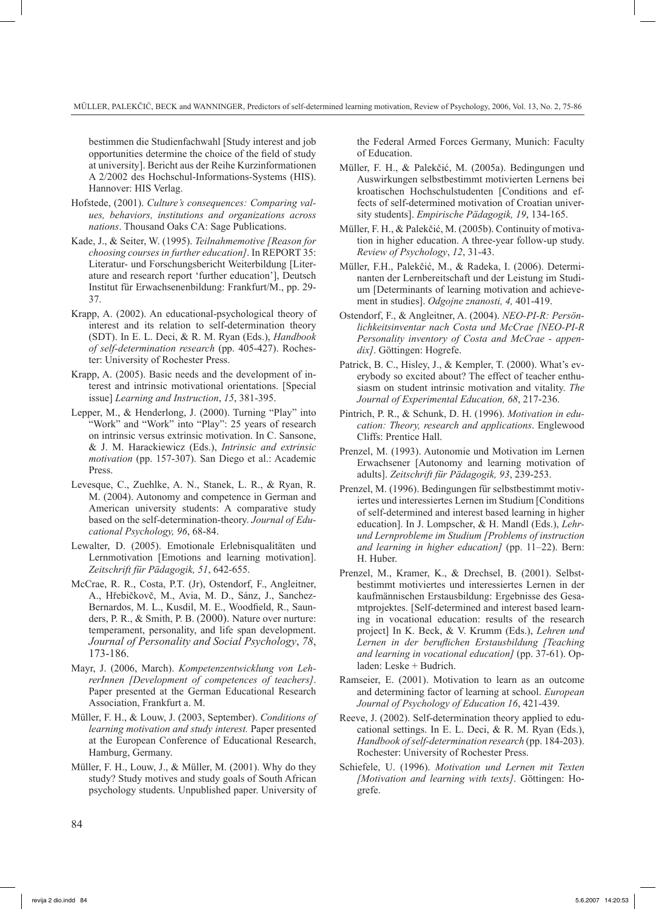bestimmen die Studienfachwahl [Study interest and job opportunities determine the choice of the field of study at university]. Bericht aus der Reihe Kurzinformationen A 2/2002 des Hochschul-Informations-Systems (HIS). Hannover: HIS Verlag.

- Hofstede, (2001). *Culture's consequences: Comparing values, behaviors, institutions and organizations across nations*. Thousand Oaks CA: Sage Publications.
- Kade, J., & Seiter, W. (1995). *Teilnahmemotive [Reason for choosing courses in further education]*. In REPORT 35: Literatur- und Forschungsbericht Weiterbildung [Literature and research report 'further education'], Deutsch Institut für Erwachsenenbildung: Frankfurt/M., pp. 29- 37.
- Krapp, A. (2002). An educational-psychological theory of interest and its relation to self-determination theory (SDT). In E. L. Deci, & R. M. Ryan (Eds.), *Handbook of self-determination research* (pp. 405-427). Rochester: University of Rochester Press.
- Krapp, A. (2005). Basic needs and the development of interest and intrinsic motivational orientations. [Special issue] *Learning and Instruction*, *15*, 381-395.
- Lepper, M., & Henderlong, J. (2000). Turning "Play" into "Work" and "Work" into "Play": 25 years of research on intrinsic versus extrinsic motivation. In C. Sansone, & J. M. Harackiewicz (Eds.), *Intrinsic and extrinsic motivation* (pp. 157-307). San Diego et al.: Academic Press.
- Levesque, C., Zuehlke, A. N., Stanek, L. R., & Ryan, R. M. (2004). Autonomy and competence in German and American university students: A comparative study based on the self-determination-theory. *Journal of Educational Psychology, 96*, 68-84.
- Lewalter, D. (2005). Emotionale Erlebnisqualitäten und Lernmotivation [Emotions and learning motivation]. *Zeitschrift für Pädagogik, 51*, 642-655.
- McCrae, R. R., Costa, P.T. (Jr), Ostendorf, F., Angleitner, A., Hřebičkovč, M., Avia, M. D., Sánz, J., Sanchez-Bernardos, M. L., Kusdil, M. E., Woodfield, R., Saunders, P. R., & Smith, P. B. (2000). Nature over nurture: temperament, personality, and life span development. *Journal of Personality and Social Psychology*, *78*, 173-186.
- Mayr, J. (2006, March). *Kompetenzentwicklung von LehrerInnen [Development of competences of teachers]*. Paper presented at the German Educational Research Association, Frankfurt a. M.
- Müller, F. H., & Louw, J. (2003, September). *Conditions of learning motivation and study interest.* Paper presented at the European Conference of Educational Research, Hamburg, Germany.
- Müller, F. H., Louw, J., & Müller, M. (2001). Why do they study? Study motives and study goals of South African psychology students. Unpublished paper. University of

the Federal Armed Forces Germany, Munich: Faculty of Education.

- Müller, F. H., & Palekčić, M. (2005a). Bedingungen und Auswirkungen selbstbestimmt motivierten Lernens bei kroatischen Hochschulstudenten [Conditions and effects of self-determined motivation of Croatian university students]. *Empirische Pädagogik, 19*, 134-165.
- Müller, F. H., & Palekčić, M. (2005b). Continuity of motivation in higher education. A three-year follow-up study. *Review of Psychology*, *12*, 31-43.
- Müller, F.H., Palekčić, M., & Radeka, I. (2006). Determinanten der Lernbereitschaft und der Leistung im Studium [Determinants of learning motivation and achievement in studies]. *Odgojne znanosti, 4,* 401-419.
- Ostendorf, F., & Angleitner, A. (2004). *NEO-PI-R: Persönlichkeitsinventar nach Costa und McCrae [NEO-PI-R Personality inventory of Costa and McCrae - appendix]*. Göttingen: Hogrefe.
- Patrick, B. C., Hisley, J., & Kempler, T. (2000). What's everybody so excited about? The effect of teacher enthusiasm on student intrinsic motivation and vitality. *The Journal of Experimental Education, 68*, 217-236.
- Pintrich, P. R., & Schunk, D. H. (1996). *Motivation in education: Theory, research and applications*. Englewood Cliffs: Prentice Hall.
- Prenzel, M. (1993). Autonomie und Motivation im Lernen Erwachsener [Autonomy and learning motivation of adults]. *Zeitschrift für Pädagogik, 93*, 239-253.
- Prenzel, M. (1996). Bedingungen für selbstbestimmt motiviertes und interessiertes Lernen im Studium [Conditions of self-determined and interest based learning in higher education]. In J. Lompscher, & H. Mandl (Eds.), *Lehrund Lernprobleme im Studium [Problems of instruction and learning in higher education]* (pp. 11–22). Bern: H. Huber.
- Prenzel, M., Kramer, K., & Drechsel, B. (2001). Selbstbestimmt motiviertes und interessiertes Lernen in der kaufmännischen Erstausbildung: Ergebnisse des Gesamtprojektes. [Self-determined and interest based learning in vocational education: results of the research project] In K. Beck, & V. Krumm (Eds.), *Lehren und Lernen in der beruflichen Erstausbildung [Teaching and learning in vocational education]* (pp. 37-61). Opladen: Leske + Budrich.
- Ramseier, E. (2001). Motivation to learn as an outcome and determining factor of learning at school. *European Journal of Psychology of Education 16*, 421-439.
- Reeve, J. (2002). Self-determination theory applied to educational settings. In E. L. Deci, & R. M. Ryan (Eds.), *Handbook of self-determination research* (pp. 184-203). Rochester: University of Rochester Press.
- Schiefele, U. (1996). *Motivation und Lernen mit Texten [Motivation and learning with texts]*. Göttingen: Hogrefe.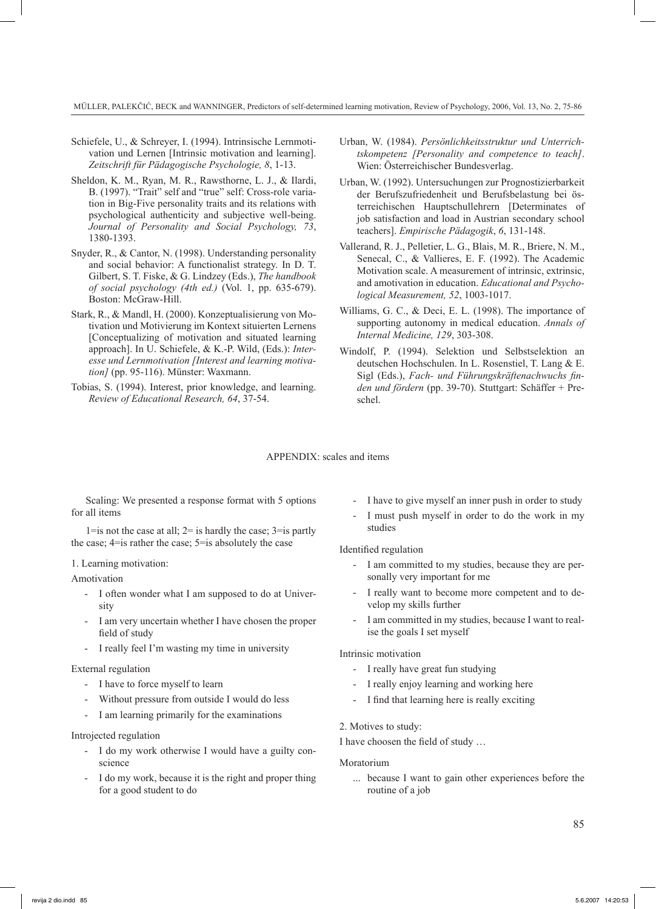- Schiefele, U., & Schreyer, I. (1994). Intrinsische Lernmotivation und Lernen [Intrinsic motivation and learning]. *Zeitschrift für Pädagogische Psychologie, 8*, 1-13.
- Sheldon, K. M., Ryan, M. R., Rawsthorne, L. J., & Ilardi, B. (1997). "Trait" self and "true" self: Cross-role variation in Big-Five personality traits and its relations with psychological authenticity and subjective well-being. *Journal of Personality and Social Psychology, 73*, 1380-1393.
- Snyder, R., & Cantor, N. (1998). Understanding personality and social behavior: A functionalist strategy. In D. T. Gilbert, S. T. Fiske, & G. Lindzey (Eds.), *The handbook of social psychology (4th ed.)* (Vol. 1, pp. 635-679). Boston: McGraw-Hill.
- Stark, R., & Mandl, H. (2000). Konzeptualisierung von Motivation und Motivierung im Kontext situierten Lernens [Conceptualizing of motivation and situated learning approach]. In U. Schiefele, & K.-P. Wild, (Eds.): *Interesse und Lernmotivation [Interest and learning motivation]* (pp. 95-116). Münster: Waxmann.
- Tobias, S. (1994). Interest, prior knowledge, and learning. *Review of Educational Research, 64*, 37-54.
- Urban, W. (1984). *Persönlichkeitsstruktur und Unterrichtskompetenz [Personality and competence to teach]*. Wien: Österreichischer Bundesverlag.
- Urban, W. (1992). Untersuchungen zur Prognostizierbarkeit der Berufszufriedenheit und Berufsbelastung bei österreichischen Hauptschullehrern [Determinates of job satisfaction and load in Austrian secondary school teachers]. *Empirische Pädagogik*, *6*, 131-148.
- Vallerand, R. J., Pelletier, L. G., Blais, M. R., Briere, N. M., Senecal, C., & Vallieres, E. F. (1992). The Academic Motivation scale. A measurement of intrinsic, extrinsic, and amotivation in education. *Educational and Psychological Measurement, 52*, 1003-1017.
- Williams, G. C., & Deci, E. L. (1998). The importance of supporting autonomy in medical education. *Annals of Internal Medicine, 129*, 303-308.
- Windolf, P. (1994). Selektion und Selbstselektion an deutschen Hochschulen. In L. Rosenstiel, T. Lang & E. Sigl (Eds.), *Fach- und Führungskräftenachwuchs finden und fördern* (pp. 39-70). Stuttgart: Schäffer + Preschel.

### APPENDIX: scales and items

Scaling: We presented a response format with 5 options for all items

1=is not the case at all;  $2=$  is hardly the case;  $3=$  is partly the case; 4=is rather the case; 5=is absolutely the case

### 1. Learning motivation:

#### Amotivation

- I often wonder what I am supposed to do at University
- I am very uncertain whether I have chosen the proper field of study
- I really feel I'm wasting my time in university

#### External regulation

- I have to force myself to learn
- Without pressure from outside I would do less
- I am learning primarily for the examinations

#### Introjected regulation

- I do my work otherwise I would have a guilty conscience
- I do my work, because it is the right and proper thing for a good student to do
- I have to give myself an inner push in order to study
- I must push myself in order to do the work in my studies

#### Identified regulation

- I am committed to my studies, because they are personally very important for me
- I really want to become more competent and to develop my skills further
- I am committed in my studies, because I want to realise the goals I set myself

#### Intrinsic motivation

- I really have great fun studying
- I really enjoy learning and working here
- I find that learning here is really exciting

#### 2. Motives to study:

I have choosen the field of study …

#### Moratorium

... because I want to gain other experiences before the routine of a job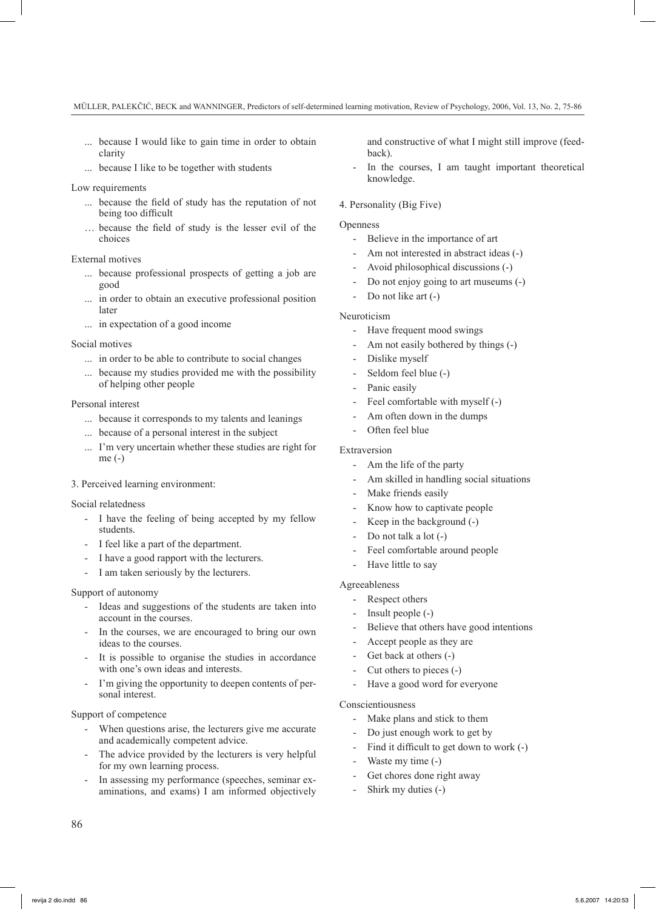- ... because I would like to gain time in order to obtain clarity
- because I like to be together with students

### Low requirements

- ... because the field of study has the reputation of not being too difficult
- … because the field of study is the lesser evil of the choices

# External motives

- ... because professional prospects of getting a job are good
- ... in order to obtain an executive professional position later
- ... in expectation of a good income

### Social motives

- ... in order to be able to contribute to social changes
- ... because my studies provided me with the possibility of helping other people

#### Personal interest

- ... because it corresponds to my talents and leanings
- ... because of a personal interest in the subject
- I'm very uncertain whether these studies are right for me (-)

## 3. Perceived learning environment:

#### Social relatedness

- I have the feeling of being accepted by my fellow students.
- I feel like a part of the department.
- I have a good rapport with the lecturers.
- I am taken seriously by the lecturers.

#### Support of autonomy

- Ideas and suggestions of the students are taken into account in the courses.
- In the courses, we are encouraged to bring our own ideas to the courses.
- It is possible to organise the studies in accordance with one's own ideas and interests.
- I'm giving the opportunity to deepen contents of personal interest.

#### Support of competence

- When questions arise, the lecturers give me accurate and academically competent advice.
- The advice provided by the lecturers is very helpful for my own learning process.
- In assessing my performance (speeches, seminar examinations, and exams) I am informed objectively

and constructive of what I might still improve (feedback).

In the courses, I am taught important theoretical knowledge.

### 4. Personality (Big Five)

#### **Openness**

- Believe in the importance of art
- Am not interested in abstract ideas (-)
- Avoid philosophical discussions (-)
- Do not enjoy going to art museums (-)
- Do not like art (-)

### Neuroticism

- Have frequent mood swings
- Am not easily bothered by things (-)
- Dislike myself
- Seldom feel blue (-)
- Panic easily
- Feel comfortable with myself (-)
- Am often down in the dumps
- Often feel blue

# Extraversion

- Am the life of the party
- Am skilled in handling social situations
- Make friends easily
- Know how to captivate people
- Keep in the background  $(-)$
- Do not talk a lot  $(-)$
- Feel comfortable around people
- Have little to say

# Agreeableness

- Respect others
- Insult people  $(-)$
- Believe that others have good intentions
- Accept people as they are
- Get back at others (-)
- Cut others to pieces (-)
- Have a good word for everyone

#### Conscientiousness

- Make plans and stick to them
- Do just enough work to get by
- Find it difficult to get down to work (-)
- Waste my time (-)
- Get chores done right away
- Shirk my duties (-)

86